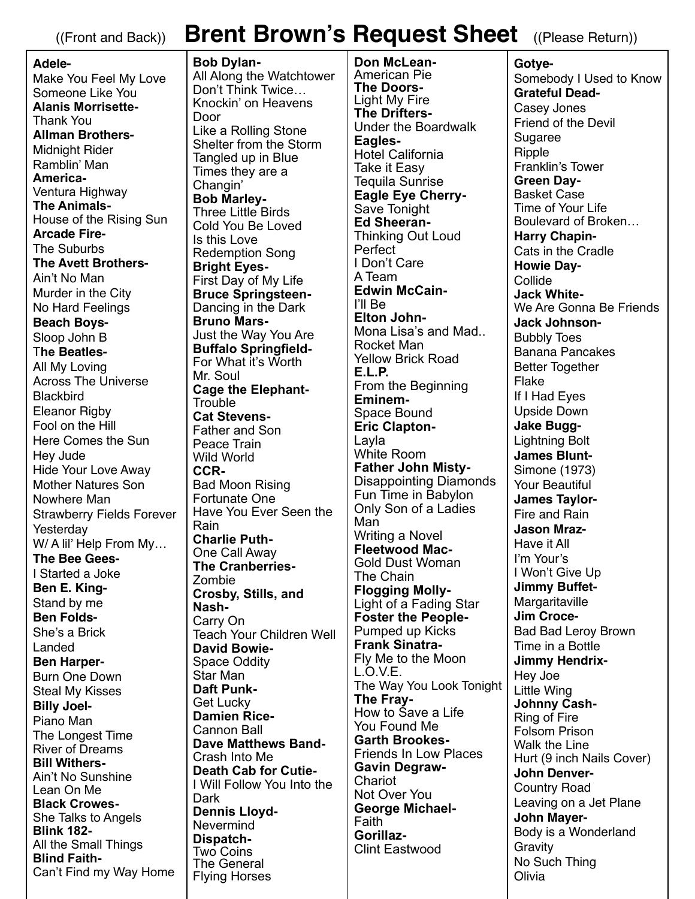## ((Front and Back)) **Brent Brown's Request Sheet** ((Please Return))

**Adele-**Make You Feel My Love Someone Like You **Alanis Morrisette-**Thank You **Allman Brothers-**Midnight Rider Ramblin' Man **America-**Ventura Highway **The Animals-**House of the Rising Sun **Arcade Fire-**The Suburbs **The Avett Brothers-**Ain't No Man Murder in the City No Hard Feelings **Beach Boys-**Sloop John B T**he Beatles-**All My Loving Across The Universe **Blackbird** Eleanor Rigby Fool on the Hill Here Comes the Sun Hey Jude Hide Your Love Away Mother Natures Son Nowhere Man Strawberry Fields Forever Yesterday W/ A lil' Help From My… **The Bee Gees-**I Started a Joke **Ben E. King-**Stand by me **Ben Folds-**She's a Brick Landed **Ben Harper-**Burn One Down Steal My Kisses **Billy Joel-**Piano Man The Longest Time River of Dreams **Bill Withers-**Ain't No Sunshine Lean On Me **Black Crowes-**She Talks to Angels **Blink 182-**  All the Small Things **Blind Faith-**Can't Find my Way Home

**Bob Dylan-**All Along the Watchtower Don't Think Twice… Knockin' on Heavens Door Like a Rolling Stone Shelter from the Storm Tangled up in Blue Times they are a Changin' **Bob Marley-**Three Little Birds Cold You Be Loved Is this Love Redemption Song **Bright Eyes-**First Day of My Life **Bruce Springsteen-**Dancing in the Dark **Bruno Mars-**Just the Way You Are **Buffalo Springfield-**For What it's Worth Mr. Soul **Cage the Elephant-Trouble Cat Stevens-**Father and Son Peace Train Wild World **CCR-**Bad Moon Rising Fortunate One Have You Ever Seen the Rain **Charlie Puth-**One Call Away **The Cranberries-**Zombie **Crosby, Stills, and Nash-**Carry On Teach Your Children Well **David Bowie-**Space Oddity Star Man **Daft Punk-**Get Lucky **Damien Rice-**Cannon Ball **Dave Matthews Band-**Crash Into Me **Death Cab for Cutie-**I Will Follow You Into the **Dark Dennis Lloyd-**Nevermind **Dispatch-**Two Coins The General Flying Horses

**Don McLean-**American Pie **The Doors-**Light My Fire **The Drifters-**Under the Boardwalk **Eagles-**Hotel California Take it Easy Tequila Sunrise **Eagle Eye Cherry-**Save Tonight **Ed Sheeran-**Thinking Out Loud Perfect I Don't Care A Team **Edwin McCain-**I'll Be **Elton John-**Mona Lisa's and Mad.. Rocket Man Yellow Brick Road **E.L.P.**  From the Beginning **Eminem-**Space Bound **Eric Clapton-**Layla White Room **Father John Misty-**Disappointing Diamonds Fun Time in Babylon Only Son of a Ladies Man Writing a Novel **Fleetwood Mac-**Gold Dust Woman The Chain **Flogging Molly-**Light of a Fading Star **Foster the People-**Pumped up Kicks **Frank Sinatra-**Fly Me to the Moon L.O.V.E. The Way You Look Tonight **The Fray-**How to Save a Life You Found Me **Garth Brookes-**Friends In Low Places **Gavin Degraw-**Chariot Not Over You **George Michael-**Faith **Gorillaz-**Clint Eastwood

**Gotye-**Somebody I Used to Know **Grateful Dead-**Casey Jones Friend of the Devil Sugaree **Ripple** Franklin's Tower **Green Day-**Basket Case Time of Your Life Boulevard of Broken… **Harry Chapin-**Cats in the Cradle **Howie Day-Collide Jack White-**We Are Gonna Be Friends **Jack Johnson-**Bubbly Toes Banana Pancakes Better Together Flake If I Had Eyes Upside Down **Jake Bugg-**Lightning Bolt **James Blunt-**Simone (1973) Your Beautiful **James Taylor-**Fire and Rain **Jason Mraz-**Have it All I'm Your's I Won't Give Up **Jimmy Buffet-**Margaritaville **Jim Croce-**Bad Bad Leroy Brown Time in a Bottle **Jimmy Hendrix-**Hey Joe Little Wing **Johnny Cash-**Ring of Fire Folsom Prison Walk the Line Hurt (9 inch Nails Cover) **John Denver-**Country Road Leaving on a Jet Plane **John Mayer-**Body is a Wonderland **Gravity** No Such Thing **Olivia**